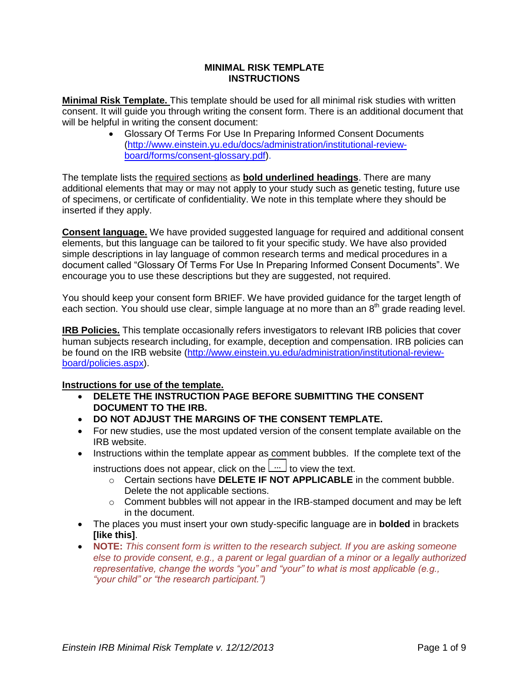## **MINIMAL RISK TEMPLATE INSTRUCTIONS**

**Minimal Risk Template.** This template should be used for all minimal risk studies with written consent. It will guide you through writing the consent form. There is an additional document that will be helpful in writing the consent document:

> Glossary Of Terms For Use In Preparing Informed Consent Documents [\(http://www.einstein.yu.edu/docs/administration/institutional-review](http://www.einstein.yu.edu/docs/administration/institutional-review-board/forms/consent-glossary.pdf)[board/forms/consent-glossary.pdf\)](http://www.einstein.yu.edu/docs/administration/institutional-review-board/forms/consent-glossary.pdf).

The template lists the required sections as **bold underlined headings**. There are many additional elements that may or may not apply to your study such as genetic testing, future use of specimens, or certificate of confidentiality. We note in this template where they should be inserted if they apply.

**Consent language.** We have provided suggested language for required and additional consent elements, but this language can be tailored to fit your specific study. We have also provided simple descriptions in lay language of common research terms and medical procedures in a document called "Glossary Of Terms For Use In Preparing Informed Consent Documents". We encourage you to use these descriptions but they are suggested, not required.

You should keep your consent form BRIEF. We have provided guidance for the target length of each section. You should use clear, simple language at no more than an 8<sup>th</sup> grade reading level.

**IRB Policies.** This template occasionally refers investigators to relevant IRB policies that cover human subjects research including, for example, deception and compensation. IRB policies can be found on the IRB website [\(http://www.einstein.yu.edu/administration/institutional-review](http://www.einstein.yu.edu/administration/institutional-review-board/policies.aspx)[board/policies.aspx\)](http://www.einstein.yu.edu/administration/institutional-review-board/policies.aspx).

# **Instructions for use of the template.**

- **DELETE THE INSTRUCTION PAGE BEFORE SUBMITTING THE CONSENT DOCUMENT TO THE IRB.**
- **DO NOT ADJUST THE MARGINS OF THE CONSENT TEMPLATE.**
- For new studies, use the most updated version of the consent template available on the IRB website.
- Instructions within the template appear as comment bubbles. If the complete text of the instructions does not appear, click on the  $\lfloor_{\cdots}\rfloor$  to view the text.
	- o Certain sections have **DELETE IF NOT APPLICABLE** in the comment bubble. Delete the not applicable sections.
	- $\circ$  Comment bubbles will not appear in the IRB-stamped document and may be left in the document.
- The places you must insert your own study-specific language are in **bolded** in brackets **[like this]**.
- **NOTE:** *This consent form is written to the research subject. If you are asking someone else to provide consent, e.g., a parent or legal guardian of a minor or a legally authorized representative, change the words "you" and "your" to what is most applicable (e.g., "your child" or "the research participant.")*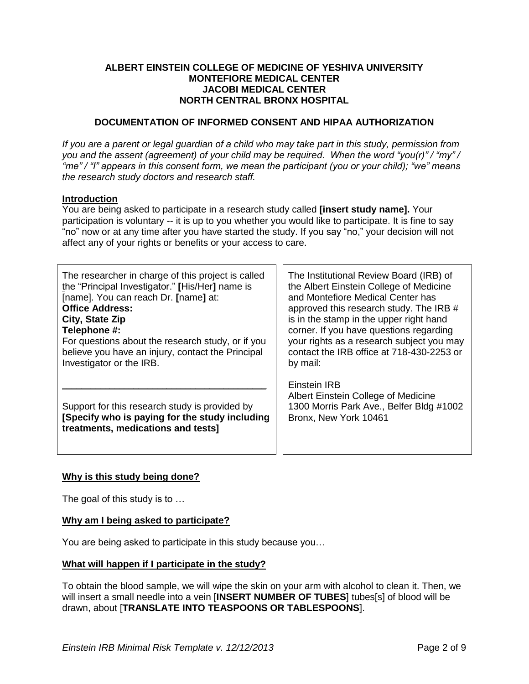## **ALBERT EINSTEIN COLLEGE OF MEDICINE OF YESHIVA UNIVERSITY MONTEFIORE MEDICAL CENTER JACOBI MEDICAL CENTER NORTH CENTRAL BRONX HOSPITAL**

## **DOCUMENTATION OF INFORMED CONSENT AND HIPAA AUTHORIZATION**

*If you are a parent or legal guardian of a child who may take part in this study, permission from you and the assent (agreement) of your child may be required. When the word "you(r)" / "my" / "me" / "I" appears in this consent form, we mean the participant (you or your child); "we" means the research study doctors and research staff.*

## **Introduction**

You are being asked to participate in a research study called **[insert study name].** Your participation is voluntary -- it is up to you whether you would like to participate. It is fine to say "no" now or at any time after you have started the study. If you say "no," your decision will not affect any of your rights or benefits or your access to care.

| The researcher in charge of this project is called                                                                                     | The Institutional Review Board (IRB) of                                                                                  |  |
|----------------------------------------------------------------------------------------------------------------------------------------|--------------------------------------------------------------------------------------------------------------------------|--|
| the "Principal Investigator." [His/Her] name is                                                                                        | the Albert Einstein College of Medicine                                                                                  |  |
| [name]. You can reach Dr. [name] at:                                                                                                   | and Montefiore Medical Center has                                                                                        |  |
| <b>Office Address:</b>                                                                                                                 | approved this research study. The IRB #                                                                                  |  |
| City, State Zip                                                                                                                        | is in the stamp in the upper right hand                                                                                  |  |
| Telephone #:                                                                                                                           | corner. If you have questions regarding                                                                                  |  |
| For questions about the research study, or if you                                                                                      | your rights as a research subject you may                                                                                |  |
| believe you have an injury, contact the Principal                                                                                      | contact the IRB office at 718-430-2253 or                                                                                |  |
| Investigator or the IRB.                                                                                                               | by mail:                                                                                                                 |  |
| Support for this research study is provided by<br>[Specify who is paying for the study including<br>treatments, medications and tests] | Einstein IRB<br>Albert Einstein College of Medicine<br>1300 Morris Park Ave., Belfer Bldg #1002<br>Bronx, New York 10461 |  |

## **Why is this study being done?**

The goal of this study is to …

## **Why am I being asked to participate?**

You are being asked to participate in this study because you…

## **What will happen if I participate in the study?**

To obtain the blood sample, we will wipe the skin on your arm with alcohol to clean it. Then, we will insert a small needle into a vein [**INSERT NUMBER OF TUBES**] tubes[s] of blood will be drawn, about [**TRANSLATE INTO TEASPOONS OR TABLESPOONS**].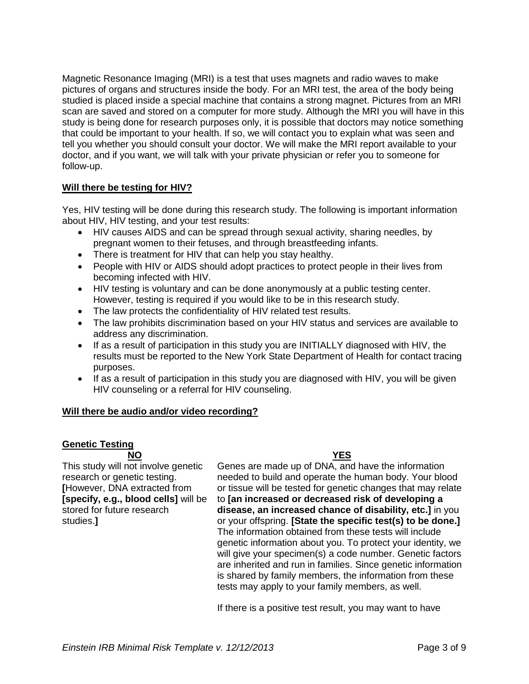Magnetic Resonance Imaging (MRI) is a test that uses magnets and radio waves to make pictures of organs and structures inside the body. For an MRI test, the area of the body being studied is placed inside a special machine that contains a strong magnet. Pictures from an MRI scan are saved and stored on a computer for more study. Although the MRI you will have in this study is being done for research purposes only, it is possible that doctors may notice something that could be important to your health. If so, we will contact you to explain what was seen and tell you whether you should consult your doctor. We will make the MRI report available to your doctor, and if you want, we will talk with your private physician or refer you to someone for follow-up.

## **Will there be testing for HIV?**

Yes, HIV testing will be done during this research study. The following is important information about HIV, HIV testing, and your test results:

- HIV causes AIDS and can be spread through sexual activity, sharing needles, by pregnant women to their fetuses, and through breastfeeding infants.
- There is treatment for HIV that can help you stay healthy.
- People with HIV or AIDS should adopt practices to protect people in their lives from becoming infected with HIV.
- HIV testing is voluntary and can be done anonymously at a public testing center. However, testing is required if you would like to be in this research study.
- The law protects the confidentiality of HIV related test results.
- The law prohibits discrimination based on your HIV status and services are available to address any discrimination.
- If as a result of participation in this study you are INITIALLY diagnosed with HIV, the results must be reported to the New York State Department of Health for contact tracing purposes.
- $\bullet$  If as a result of participation in this study you are diagnosed with HIV, you will be given HIV counseling or a referral for HIV counseling.

## **Will there be audio and/or video recording?**

# **Genetic Testing**

studies.**]**

**NO YES** This study will not involve genetic research or genetic testing. **[**However, DNA extracted from **[specify, e.g., blood cells]** will be stored for future research

Genes are made up of DNA, and have the information needed to build and operate the human body. Your blood or tissue will be tested for genetic changes that may relate to **[an increased or decreased risk of developing a disease, an increased chance of disability, etc.]** in you or your offspring. **[State the specific test(s) to be done.]** The information obtained from these tests will include genetic information about you. To protect your identity, we will give your specimen(s) a code number. Genetic factors are inherited and run in families. Since genetic information is shared by family members, the information from these tests may apply to your family members, as well.

If there is a positive test result, you may want to have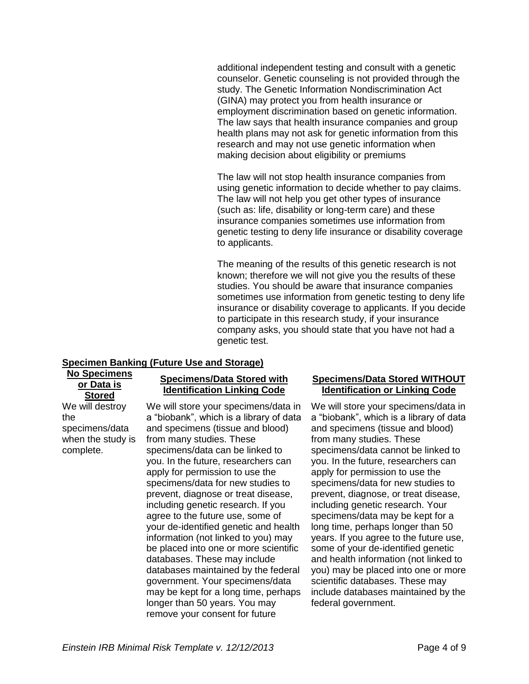additional independent testing and consult with a genetic counselor. Genetic counseling is not provided through the study. The Genetic Information Nondiscrimination Act (GINA) may protect you from health insurance or employment discrimination based on genetic information. The law says that health insurance companies and group health plans may not ask for genetic information from this research and may not use genetic information when making decision about eligibility or premiums

The law will not stop health insurance companies from using genetic information to decide whether to pay claims. The law will not help you get other types of insurance (such as: life, disability or long-term care) and these insurance companies sometimes use information from genetic testing to deny life insurance or disability coverage to applicants.

The meaning of the results of this genetic research is not known; therefore we will not give you the results of these studies. You should be aware that insurance companies sometimes use information from genetic testing to deny life insurance or disability coverage to applicants. If you decide to participate in this research study, if your insurance company asks, you should state that you have not had a genetic test.

## **Specimen Banking (Future Use and Storage)**

**No Specimens or Data is Stored** We will destroy

the specimens/data when the study is complete.

## **Specimens/Data Stored with Identification Linking Code**

We will store your specimens/data in a "biobank", which is a library of data and specimens (tissue and blood) from many studies. These specimens/data can be linked to you. In the future, researchers can apply for permission to use the specimens/data for new studies to prevent, diagnose or treat disease, including genetic research. If you agree to the future use, some of your de-identified genetic and health information (not linked to you) may be placed into one or more scientific databases. These may include databases maintained by the federal government. Your specimens/data may be kept for a long time, perhaps longer than 50 years. You may remove your consent for future

## **Specimens/Data Stored WITHOUT Identification or Linking Code**

We will store your specimens/data in a "biobank", which is a library of data and specimens (tissue and blood) from many studies. These specimens/data cannot be linked to you. In the future, researchers can apply for permission to use the specimens/data for new studies to prevent, diagnose, or treat disease, including genetic research. Your specimens/data may be kept for a long time, perhaps longer than 50 years. If you agree to the future use, some of your de-identified genetic and health information (not linked to you) may be placed into one or more scientific databases. These may include databases maintained by the federal government.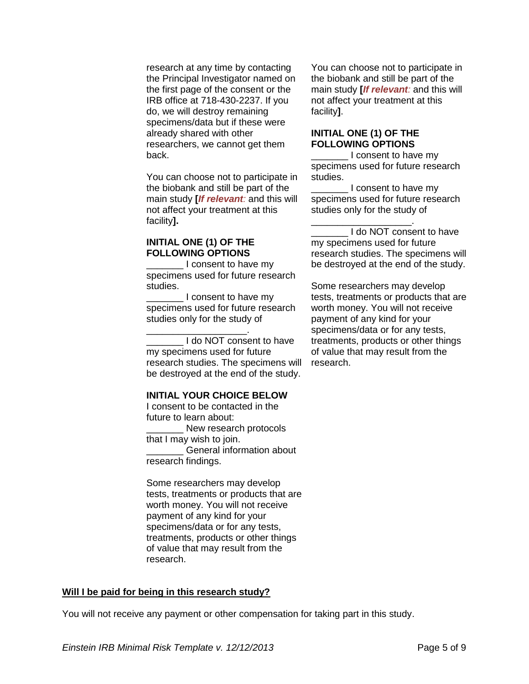research at any time by contacting the Principal Investigator named on the first page of the consent or the IRB office at 718-430-2237. If you do, we will destroy remaining specimens/data but if these were already shared with other researchers, we cannot get them back.

You can choose not to participate in the biobank and still be part of the main study **[***If relevant:* and this will not affect your treatment at this facility**].**

## **INITIAL ONE (1) OF THE FOLLOWING OPTIONS**

I consent to have my specimens used for future research studies.

I consent to have my specimens used for future research studies only for the study of

\_\_\_\_\_\_\_\_\_\_\_\_\_\_\_\_\_\_\_. I do NOT consent to have my specimens used for future research studies. The specimens will be destroyed at the end of the study.

## **INITIAL YOUR CHOICE BELOW**

I consent to be contacted in the future to learn about:

New research protocols that I may wish to join.

General information about research findings.

Some researchers may develop tests, treatments or products that are worth money. You will not receive payment of any kind for your specimens/data or for any tests, treatments, products or other things of value that may result from the research.

You can choose not to participate in the biobank and still be part of the main study **[***If relevant:* and this will not affect your treatment at this facility**]**.

## **INITIAL ONE (1) OF THE FOLLOWING OPTIONS**

\_\_\_\_\_\_\_\_\_\_\_\_\_\_\_\_\_\_\_.

\_\_\_\_\_\_\_ I consent to have my specimens used for future research studies.

I consent to have my specimens used for future research studies only for the study of

I do NOT consent to have my specimens used for future research studies. The specimens will be destroyed at the end of the study.

Some researchers may develop tests, treatments or products that are worth money. You will not receive payment of any kind for your specimens/data or for any tests, treatments, products or other things of value that may result from the research.

#### **Will I be paid for being in this research study?**

You will not receive any payment or other compensation for taking part in this study.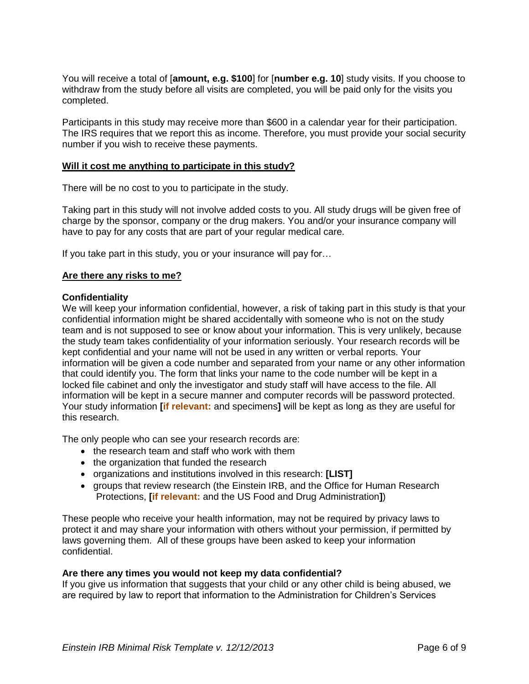You will receive a total of [**amount, e.g. \$100**] for [**number e.g. 10**] study visits. If you choose to withdraw from the study before all visits are completed, you will be paid only for the visits you completed.

Participants in this study may receive more than \$600 in a calendar year for their participation. The IRS requires that we report this as income. Therefore, you must provide your social security number if you wish to receive these payments.

## **Will it cost me anything to participate in this study?**

There will be no cost to you to participate in the study.

Taking part in this study will not involve added costs to you. All study drugs will be given free of charge by the sponsor, company or the drug makers. You and/or your insurance company will have to pay for any costs that are part of your regular medical care.

If you take part in this study, you or your insurance will pay for…

## **Are there any risks to me?**

## **Confidentiality**

We will keep your information confidential, however, a risk of taking part in this study is that your confidential information might be shared accidentally with someone who is not on the study team and is not supposed to see or know about your information. This is very unlikely, because the study team takes confidentiality of your information seriously. Your research records will be kept confidential and your name will not be used in any written or verbal reports. Your information will be given a code number and separated from your name or any other information that could identify you. The form that links your name to the code number will be kept in a locked file cabinet and only the investigator and study staff will have access to the file. All information will be kept in a secure manner and computer records will be password protected. Your study information **[if relevant:** and specimens**]** will be kept as long as they are useful for this research.

The only people who can see your research records are:

- the research team and staff who work with them
- the organization that funded the research
- organizations and institutions involved in this research: **[LIST]**
- groups that review research (the Einstein IRB, and the Office for Human Research Protections, **[if relevant:** and the US Food and Drug Administration**]**)

These people who receive your health information, may not be required by privacy laws to protect it and may share your information with others without your permission, if permitted by laws governing them. All of these groups have been asked to keep your information confidential.

## **Are there any times you would not keep my data confidential?**

If you give us information that suggests that your child or any other child is being abused, we are required by law to report that information to the Administration for Children's Services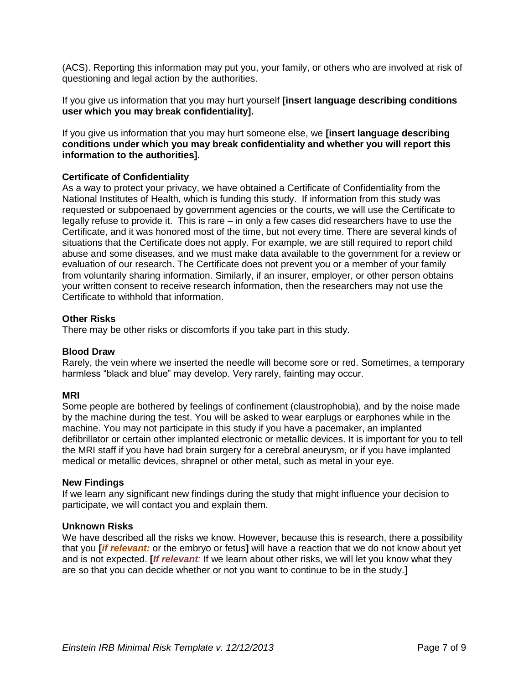(ACS). Reporting this information may put you, your family, or others who are involved at risk of questioning and legal action by the authorities.

If you give us information that you may hurt yourself **[insert language describing conditions user which you may break confidentiality].**

If you give us information that you may hurt someone else, we **[insert language describing conditions under which you may break confidentiality and whether you will report this information to the authorities].**

## **Certificate of Confidentiality**

As a way to protect your privacy, we have obtained a Certificate of Confidentiality from the National Institutes of Health, which is funding this study. If information from this study was requested or subpoenaed by government agencies or the courts, we will use the Certificate to legally refuse to provide it. This is rare – in only a few cases did researchers have to use the Certificate, and it was honored most of the time, but not every time. There are several kinds of situations that the Certificate does not apply. For example, we are still required to report child abuse and some diseases, and we must make data available to the government for a review or evaluation of our research. The Certificate does not prevent you or a member of your family from voluntarily sharing information. Similarly, if an insurer, employer, or other person obtains your written consent to receive research information, then the researchers may not use the Certificate to withhold that information.

## **Other Risks**

There may be other risks or discomforts if you take part in this study.

## **Blood Draw**

Rarely, the vein where we inserted the needle will become sore or red. Sometimes, a temporary harmless "black and blue" may develop. Very rarely, fainting may occur.

# **MRI**

Some people are bothered by feelings of confinement (claustrophobia), and by the noise made by the machine during the test. You will be asked to wear earplugs or earphones while in the machine. You may not participate in this study if you have a pacemaker, an implanted defibrillator or certain other implanted electronic or metallic devices. It is important for you to tell the MRI staff if you have had brain surgery for a cerebral aneurysm, or if you have implanted medical or metallic devices, shrapnel or other metal, such as metal in your eye.

## **New Findings**

If we learn any significant new findings during the study that might influence your decision to participate, we will contact you and explain them.

## **Unknown Risks**

We have described all the risks we know. However, because this is research, there a possibility that you **[***if relevant:* or the embryo or fetus**]** will have a reaction that we do not know about yet and is not expected. **[***If relevant:* If we learn about other risks, we will let you know what they are so that you can decide whether or not you want to continue to be in the study.**]**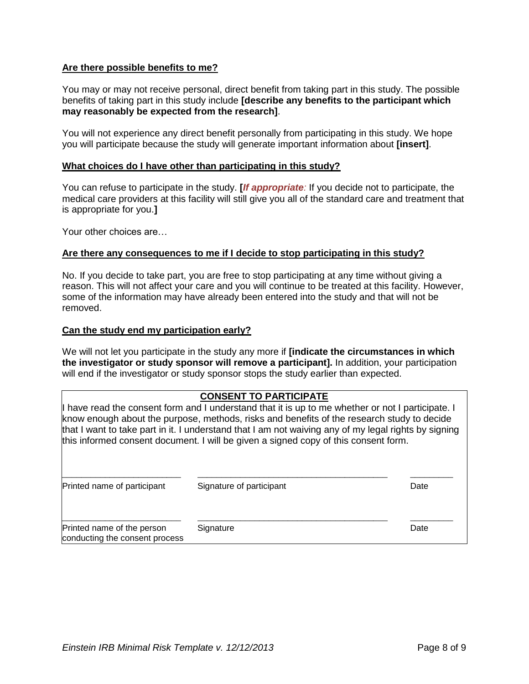## **Are there possible benefits to me?**

You may or may not receive personal, direct benefit from taking part in this study. The possible benefits of taking part in this study include **[describe any benefits to the participant which may reasonably be expected from the research]**.

You will not experience any direct benefit personally from participating in this study. We hope you will participate because the study will generate important information about **[insert]**.

## **What choices do I have other than participating in this study?**

You can refuse to participate in the study. **[***If appropriate:* If you decide not to participate, the medical care providers at this facility will still give you all of the standard care and treatment that is appropriate for you.**]**

Your other choices are…

#### **Are there any consequences to me if I decide to stop participating in this study?**

No. If you decide to take part, you are free to stop participating at any time without giving a reason. This will not affect your care and you will continue to be treated at this facility. However, some of the information may have already been entered into the study and that will not be removed.

#### **Can the study end my participation early?**

We will not let you participate in the study any more if **[indicate the circumstances in which the investigator or study sponsor will remove a participant].** In addition, your participation will end if the investigator or study sponsor stops the study earlier than expected.

## **CONSENT TO PARTICIPATE**

I have read the consent form and I understand that it is up to me whether or not I participate. I know enough about the purpose, methods, risks and benefits of the research study to decide that I want to take part in it. I understand that I am not waiving any of my legal rights by signing this informed consent document. I will be given a signed copy of this consent form.

| Printed name of participant                                  | Signature of participant | Date |
|--------------------------------------------------------------|--------------------------|------|
| Printed name of the person<br>conducting the consent process | Signature                | Date |